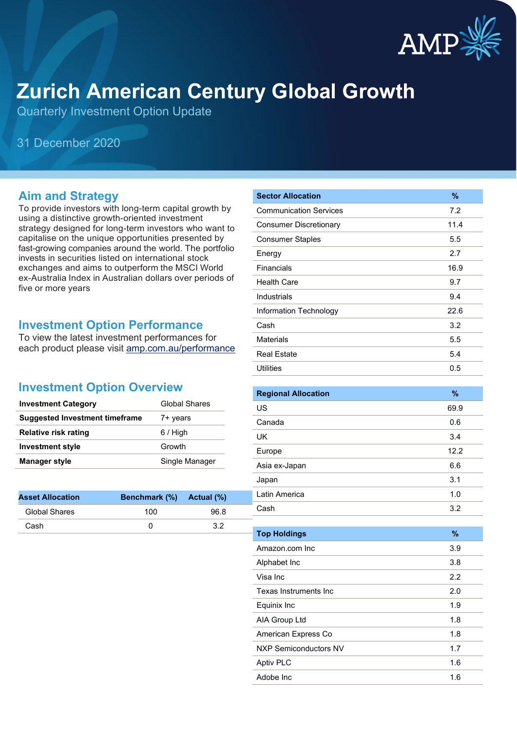

# **Zurich American Century Global Growth**

Quarterly Investment Option Update

31 December 2020

#### **Aim and Strategy**

To provide investors with long-term capital growth by using a distinctive growth-oriented investment strategy designed for long-term investors who want to capitalise on the unique opportunities presented by fast-growing companies around the world. The portfolio invests in securities listed on international stock exchanges and aims to outperform the MSCI World ex-Australia Index in Australian dollars over periods of five or more years

#### **Investment Option Performance**

To view the latest investment performances for each product please visit [amp.com.au/performance](https://www.amp.com.au/performance)

### **Investment Option Overview**

| <b>Investment Category</b>     | <b>Global Shares</b> |
|--------------------------------|----------------------|
| Suggested Investment timeframe | 7+ years             |
| <b>Relative risk rating</b>    | $6/$ High            |
| <b>Investment style</b>        | Growth               |
| <b>Manager style</b>           | Single Manager       |

| <b>Asset Allocation</b> | Benchmark (%) Actual (%) |      |
|-------------------------|--------------------------|------|
| Global Shares           | 100                      | 96.8 |
| Cash                    |                          | 32   |

| <b>Sector Allocation</b>      | $\frac{9}{6}$ |
|-------------------------------|---------------|
| <b>Communication Services</b> | 7.2           |
| <b>Consumer Discretionary</b> | 11.4          |
| <b>Consumer Staples</b>       | 5.5           |
| Energy                        | 2.7           |
| Financials                    | 16.9          |
| <b>Health Care</b>            | 9.7           |
| Industrials                   | 9.4           |
| Information Technology        | 22.6          |
| Cash                          | 3.2           |
| <b>Materials</b>              | 5.5           |
| <b>Real Estate</b>            | 5.4           |
| <b>Utilities</b>              | 0.5           |

| <b>Regional Allocation</b> | $\%$ |
|----------------------------|------|
| US                         | 69.9 |
| Canada                     | 0.6  |
| UK                         | 3.4  |
| Europe                     | 12.2 |
| Asia ex-Japan              | 6.6  |
| Japan                      | 3.1  |
| Latin America              | 1.0  |
| Cash                       | 3.2  |

| <b>Top Holdings</b>   | $\frac{9}{6}$ |
|-----------------------|---------------|
| Amazon.com Inc        | 3.9           |
| Alphabet Inc          | 3.8           |
| Visa Inc              | 2.2           |
| Texas Instruments Inc | 2.0           |
| Equinix Inc           | 1.9           |
| AIA Group Ltd         | 1.8           |
| American Express Co   | 1.8           |
| NXP Semiconductors NV | 1.7           |
| <b>Aptiv PLC</b>      | 1.6           |
| Adobe Inc             | 1.6           |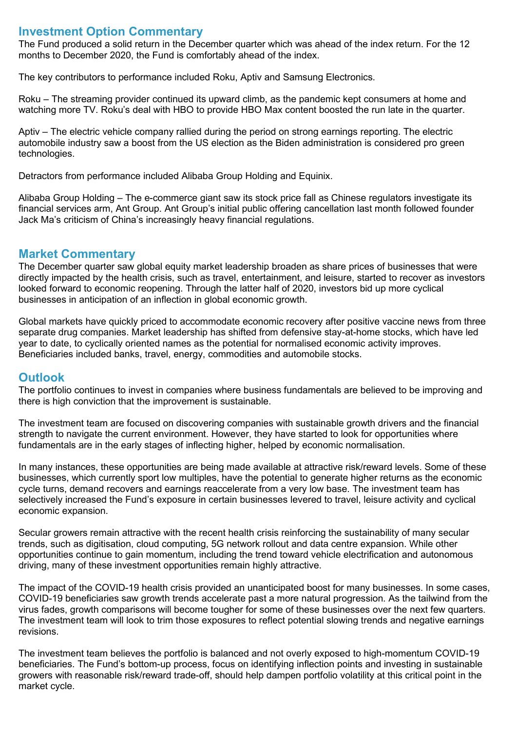#### **Investment Option Commentary**

The Fund produced a solid return in the December quarter which was ahead of the index return. For the 12 months to December 2020, the Fund is comfortably ahead of the index.

The key contributors to performance included Roku, Aptiv and Samsung Electronics.

Roku – The streaming provider continued its upward climb, as the pandemic kept consumers at home and watching more TV. Roku's deal with HBO to provide HBO Max content boosted the run late in the quarter.

Aptiv – The electric vehicle company rallied during the period on strong earnings reporting. The electric automobile industry saw a boost from the US election as the Biden administration is considered pro green technologies.

Detractors from performance included Alibaba Group Holding and Equinix.

Alibaba Group Holding – The e-commerce giant saw its stock price fall as Chinese regulators investigate its financial services arm, Ant Group. Ant Group's initial public offering cancellation last month followed founder Jack Ma's criticism of China's increasingly heavy financial regulations.

#### **Market Commentary**

The December quarter saw global equity market leadership broaden as share prices of businesses that were directly impacted by the health crisis, such as travel, entertainment, and leisure, started to recover as investors looked forward to economic reopening. Through the latter half of 2020, investors bid up more cyclical businesses in anticipation of an inflection in global economic growth.

Global markets have quickly priced to accommodate economic recovery after positive vaccine news from three separate drug companies. Market leadership has shifted from defensive stay-at-home stocks, which have led year to date, to cyclically oriented names as the potential for normalised economic activity improves. Beneficiaries included banks, travel, energy, commodities and automobile stocks.

#### **Outlook**

The portfolio continues to invest in companies where business fundamentals are believed to be improving and there is high conviction that the improvement is sustainable.

The investment team are focused on discovering companies with sustainable growth drivers and the financial strength to navigate the current environment. However, they have started to look for opportunities where fundamentals are in the early stages of inflecting higher, helped by economic normalisation.

In many instances, these opportunities are being made available at attractive risk/reward levels. Some of these businesses, which currently sport low multiples, have the potential to generate higher returns as the economic cycle turns, demand recovers and earnings reaccelerate from a very low base. The investment team has selectively increased the Fund's exposure in certain businesses levered to travel, leisure activity and cyclical economic expansion.

Secular growers remain attractive with the recent health crisis reinforcing the sustainability of many secular trends, such as digitisation, cloud computing, 5G network rollout and data centre expansion. While other opportunities continue to gain momentum, including the trend toward vehicle electrification and autonomous driving, many of these investment opportunities remain highly attractive.

The impact of the COVID-19 health crisis provided an unanticipated boost for many businesses. In some cases, COVID-19 beneficiaries saw growth trends accelerate past a more natural progression. As the tailwind from the virus fades, growth comparisons will become tougher for some of these businesses over the next few quarters. The investment team will look to trim those exposures to reflect potential slowing trends and negative earnings revisions.

The investment team believes the portfolio is balanced and not overly exposed to high-momentum COVID-19 beneficiaries. The Fund's bottom-up process, focus on identifying inflection points and investing in sustainable growers with reasonable risk/reward trade-off, should help dampen portfolio volatility at this critical point in the market cycle.